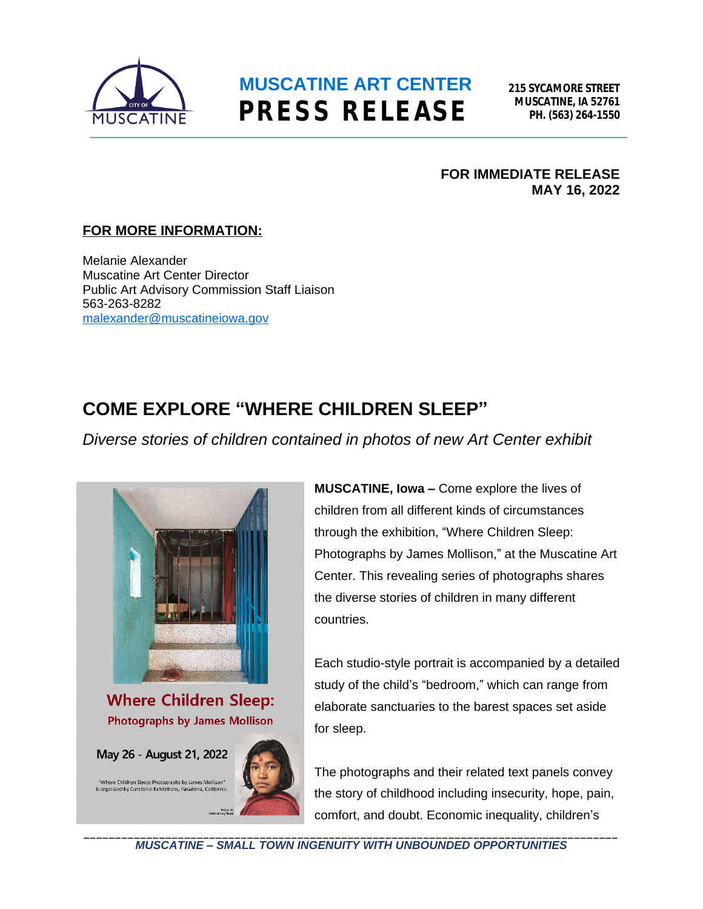

**215 SYCAMORE STREET MUSCATINE, IA 52761 PH. (563) 264-1550**

#### **FOR IMMEDIATE RELEASE MAY 16, 2022**

### **FOR MORE INFORMATION:**

Melanie Alexander Muscatine Art Center Director Public Art Advisory Commission Staff Liaison 563-263-8282 [malexander@muscatineiowa.gov](mailto:malexander@muscatineiowa.gov)

### **COME EXPLORE "WHERE CHILDREN SLEEP"**

*Diverse stories of children contained in photos of new Art Center exhibit*



**MUSCATINE, Iowa –** Come explore the lives of children from all different kinds of circumstances through the exhibition, "Where Children Sleep: Photographs by James Mollison," at the Muscatine Art Center. This revealing series of photographs shares the diverse stories of children in many different countries.

Each studio-style portrait is accompanied by a detailed study of the child's "bedroom," which can range from elaborate sanctuaries to the barest spaces set aside for sleep.

The photographs and their related text panels convey the story of childhood including insecurity, hope, pain, comfort, and doubt. Economic inequality, children's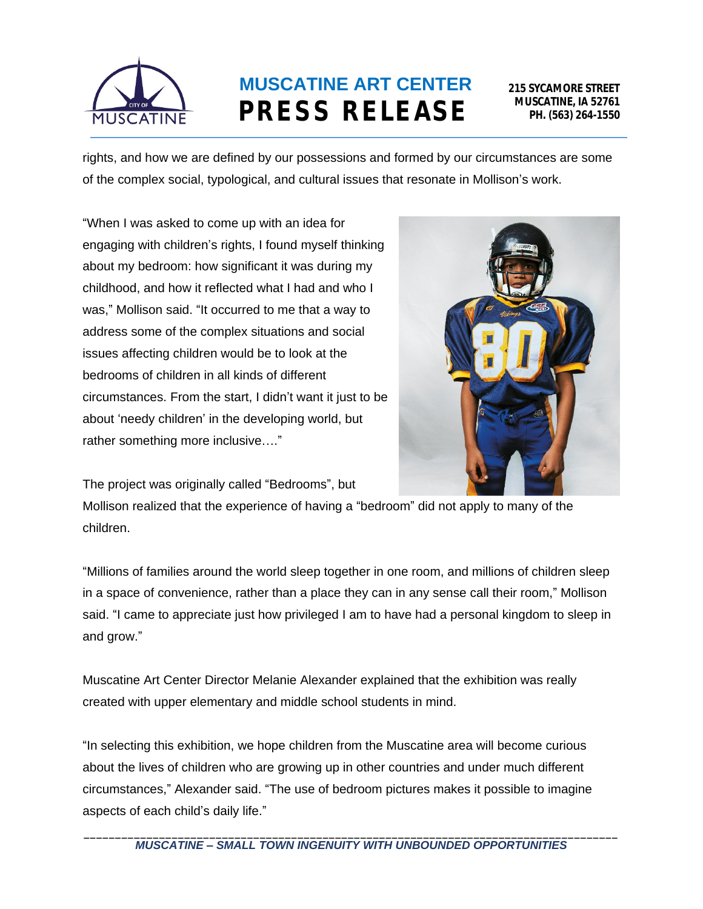

**215 SYCAMORE STREET MUSCATINE, IA 52761 PH. (563) 264-1550**

rights, and how we are defined by our possessions and formed by our circumstances are some of the complex social, typological, and cultural issues that resonate in Mollison's work.

"When I was asked to come up with an idea for engaging with children's rights, I found myself thinking about my bedroom: how significant it was during my childhood, and how it reflected what I had and who I was," Mollison said. "It occurred to me that a way to address some of the complex situations and social issues affecting children would be to look at the bedrooms of children in all kinds of different circumstances. From the start, I didn't want it just to be about 'needy children' in the developing world, but rather something more inclusive…."



The project was originally called "Bedrooms", but

Mollison realized that the experience of having a "bedroom" did not apply to many of the children.

"Millions of families around the world sleep together in one room, and millions of children sleep in a space of convenience, rather than a place they can in any sense call their room," Mollison said. "I came to appreciate just how privileged I am to have had a personal kingdom to sleep in and grow."

Muscatine Art Center Director Melanie Alexander explained that the exhibition was really created with upper elementary and middle school students in mind.

"In selecting this exhibition, we hope children from the Muscatine area will become curious about the lives of children who are growing up in other countries and under much different circumstances," Alexander said. "The use of bedroom pictures makes it possible to imagine aspects of each child's daily life."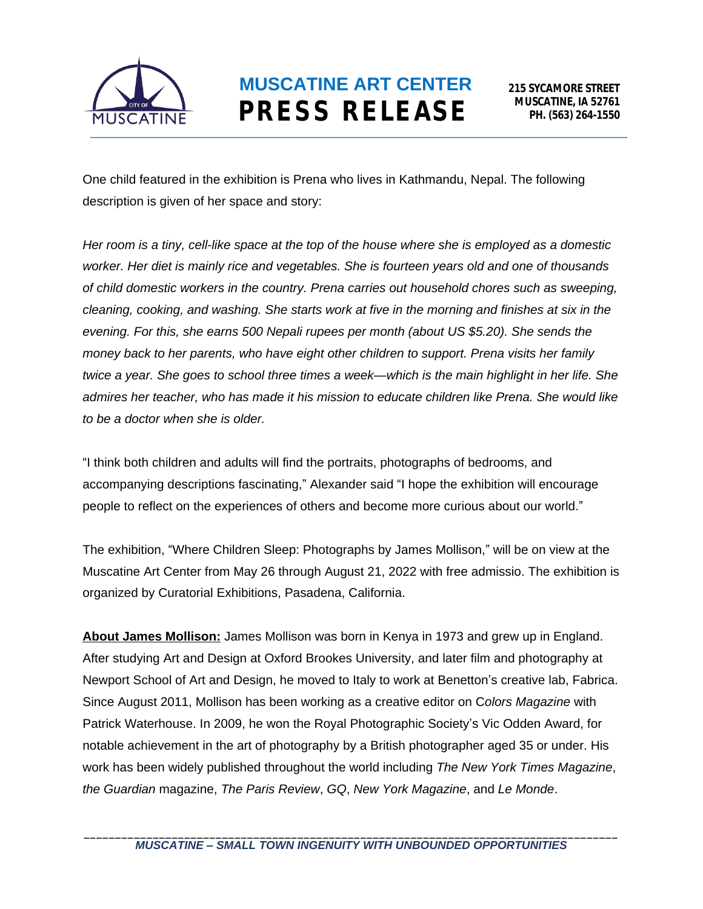

One child featured in the exhibition is Prena who lives in Kathmandu, Nepal. The following description is given of her space and story:

*Her room is a tiny, cell-like space at the top of the house where she is employed as a domestic worker. Her diet is mainly rice and vegetables. She is fourteen years old and one of thousands of child domestic workers in the country. Prena carries out household chores such as sweeping, cleaning, cooking, and washing. She starts work at five in the morning and finishes at six in the evening. For this, she earns 500 Nepali rupees per month (about US \$5.20). She sends the money back to her parents, who have eight other children to support. Prena visits her family twice a year. She goes to school three times a week—which is the main highlight in her life. She admires her teacher, who has made it his mission to educate children like Prena. She would like to be a doctor when she is older.*

"I think both children and adults will find the portraits, photographs of bedrooms, and accompanying descriptions fascinating," Alexander said "I hope the exhibition will encourage people to reflect on the experiences of others and become more curious about our world."

The exhibition, "Where Children Sleep: Photographs by James Mollison," will be on view at the Muscatine Art Center from May 26 through August 21, 2022 with free admissio. The exhibition is organized by Curatorial Exhibitions, Pasadena, California.

**About James Mollison:** James Mollison was born in Kenya in 1973 and grew up in England. After studying Art and Design at Oxford Brookes University, and later film and photography at Newport School of Art and Design, he moved to Italy to work at Benetton's creative lab, Fabrica. Since August 2011, Mollison has been working as a creative editor on C*olors Magazine* with Patrick Waterhouse. In 2009, he won the Royal Photographic Society's Vic Odden Award, for notable achievement in the art of photography by a British photographer aged 35 or under. His work has been widely published throughout the world including *The New York Times Magazine*, *the Guardian* magazine, *The Paris Review*, *GQ*, *New York Magazine*, and *Le Monde*.